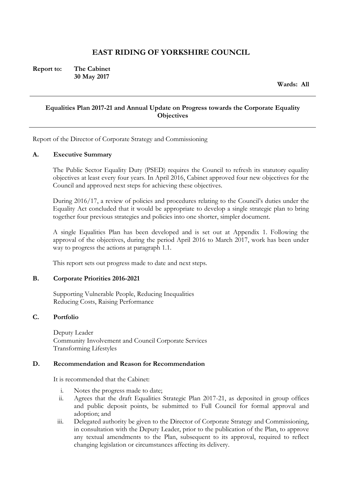# **EAST RIDING OF YORKSHIRE COUNCIL**

**Report to: The Cabinet 30 May 2017** 

**Wards: All** 

# **Equalities Plan 2017-21 and Annual Update on Progress towards the Corporate Equality Objectives**

Report of the Director of Corporate Strategy and Commissioning

#### **A. Executive Summary**

The Public Sector Equality Duty (PSED) requires the Council to refresh its statutory equality objectives at least every four years. In April 2016, Cabinet approved four new objectives for the Council and approved next steps for achieving these objectives.

During 2016/17, a review of policies and procedures relating to the Council's duties under the Equality Act concluded that it would be appropriate to develop a single strategic plan to bring together four previous strategies and policies into one shorter, simpler document.

A single Equalities Plan has been developed and is set out at Appendix 1. Following the approval of the objectives, during the period April 2016 to March 2017, work has been under way to progress the actions at paragraph 1.1.

This report sets out progress made to date and next steps.

## **B. Corporate Priorities 2016-2021**

 Supporting Vulnerable People, Reducing Inequalities Reducing Costs, Raising Performance

## **C. Portfolio**

Deputy Leader Community Involvement and Council Corporate Services Transforming Lifestyles

#### **D. Recommendation and Reason for Recommendation**

It is recommended that the Cabinet:

- i. Notes the progress made to date;
- ii. Agrees that the draft Equalities Strategic Plan 2017-21, as deposited in group offices and public deposit points, be submitted to Full Council for formal approval and adoption; and
- iii. Delegated authority be given to the Director of Corporate Strategy and Commissioning, in consultation with the Deputy Leader, prior to the publication of the Plan, to approve any textual amendments to the Plan, subsequent to its approval, required to reflect changing legislation or circumstances affecting its delivery.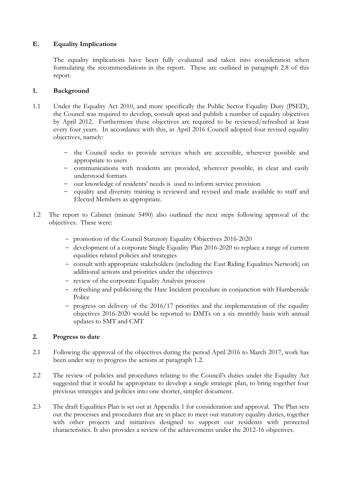# **E. Equality Implications**

The equality implications have been fully evaluated and taken into consideration when formulating the recommendations in the report. These are outlined in paragraph 2.8 of this report.

# **1. Background**

- 1.1 Under the Equality Act 2010, and more specifically the Public Sector Equality Duty (PSED), the Council was required to develop, consult upon and publish a number of equality objectives by April 2012. Furthermore these objectives are required to be reviewed/refreshed at least every four years. In accordance with this, in April 2016 Council adopted four revised equality objectives, namely:
	- the Council seeks to provide services which are accessible, wherever possible and appropriate to users
	- communications with residents are provided, wherever possible, in clear and easily understood formats
	- our knowledge of residents' needs is used to inform service provision
	- equality and diversity training is reviewed and revised and made available to staff and Elected Members as appropriate.
- 1.2 The report to Cabinet (minute 5490) also outlined the next steps following approval of the objectives. These were:
	- promotion of the Council Statutory Equality Objectives 2016-2020
	- development of a corporate Single Equality Plan 2016-2020 to replace a range of current equalities related policies and strategies
	- consult with appropriate stakeholders (including the East Riding Equalities Network) on additional actions and priorities under the objectives
	- review of the corporate Equality Analysis process
	- refreshing and publicising the Hate Incident procedure in conjunction with Humberside Police
	- $-$  progress on delivery of the 2016/17 priorities and the implementation of the equality objectives 2016-2020 would be reported to DMTs on a six monthly basis with annual updates to SMT and CMT

# **2. Progress to date**

- 2.1 Following the approval of the objectives during the period April 2016 to March 2017, work has been under way to progress the actions at paragraph 1.2.
- 2.2 The review of policies and procedures relating to the Council's duties under the Equality Act suggested that it would be appropriate to develop a single strategic plan, to bring together four previous strategies and policies into one shorter, simpler document.
- 2.3 The draft Equalities Plan is set out at Appendix 1 for consideration and approval. The Plan sets out the processes and procedures that are in place to meet our statutory equality duties, together with other projects and initiatives designed to support our residents with protected characteristics. It also provides a review of the achievements under the 2012-16 objectives.